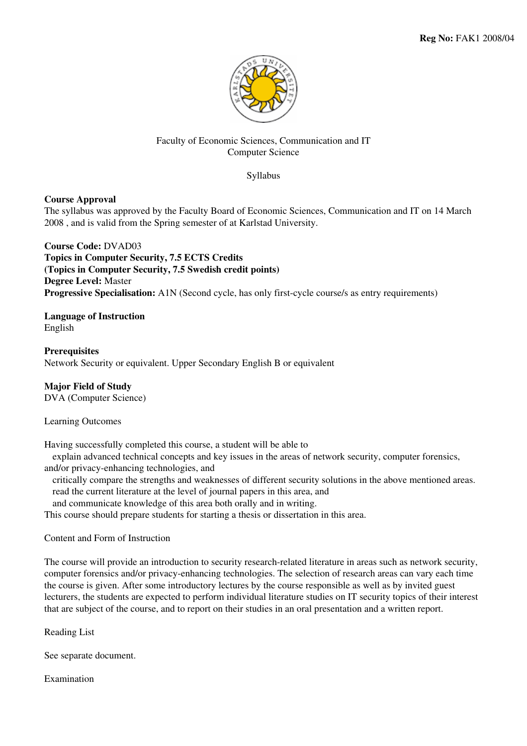

## Faculty of Economic Sciences, Communication and IT Computer Science

Syllabus

## **Course Approval**

The syllabus was approved by the Faculty Board of Economic Sciences, Communication and IT on 14 March 2008 , and is valid from the Spring semester of at Karlstad University.

**Course Code:** DVAD03 **Topics in Computer Security, 7.5 ECTS Credits (Topics in Computer Security, 7.5 Swedish credit points) Degree Level:** Master **Progressive Specialisation:** A1N (Second cycle, has only first-cycle course/s as entry requirements)

**Language of Instruction** English

**Prerequisites** Network Security or equivalent. Upper Secondary English B or equivalent

# **Major Field of Study**

DVA (Computer Science)

## Learning Outcomes

Having successfully completed this course, a student will be able to

 explain advanced technical concepts and key issues in the areas of network security, computer forensics, and/or privacy-enhancing technologies, and

 critically compare the strengths and weaknesses of different security solutions in the above mentioned areas. read the current literature at the level of journal papers in this area, and

and communicate knowledge of this area both orally and in writing.

This course should prepare students for starting a thesis or dissertation in this area.

Content and Form of Instruction

The course will provide an introduction to security research-related literature in areas such as network security, computer forensics and/or privacy-enhancing technologies. The selection of research areas can vary each time the course is given. After some introductory lectures by the course responsible as well as by invited guest lecturers, the students are expected to perform individual literature studies on IT security topics of their interest that are subject of the course, and to report on their studies in an oral presentation and a written report.

Reading List

See separate document.

Examination